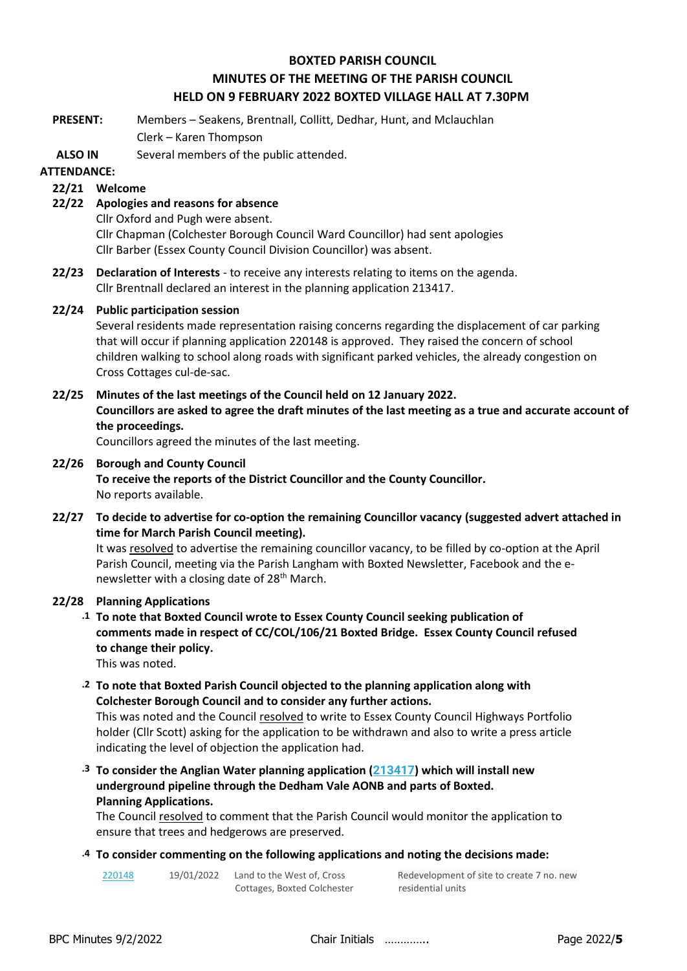## **BOXTED PARISH COUNCIL MINUTES OF THE MEETING OF THE PARISH COUNCIL HELD ON 9 FEBRUARY 2022 BOXTED VILLAGE HALL AT 7.30PM**

**PRESENT:** Members – Seakens, Brentnall, Collitt, Dedhar, Hunt, and Mclauchlan Clerk – Karen Thompson

**ALSO IN**  Several members of the public attended.

## **ATTENDANCE:**

## **22/21 Welcome**

**22/22 Apologies and reasons for absence**

Cllr Oxford and Pugh were absent.

Cllr Chapman (Colchester Borough Council Ward Councillor) had sent apologies Cllr Barber (Essex County Council Division Councillor) was absent.

**22/23 Declaration of Interests** - to receive any interests relating to items on the agenda. Cllr Brentnall declared an interest in the planning application 213417.

## **22/24 Public participation session**

Several residents made representation raising concerns regarding the displacement of car parking that will occur if planning application 220148 is approved. They raised the concern of school children walking to school along roads with significant parked vehicles, the already congestion on Cross Cottages cul-de-sac.

## **22/25 Minutes of the last meetings of the Council held on 12 January 2022.**

**Councillors are asked to agree the draft minutes of the last meeting as a true and accurate account of the proceedings.**

Councillors agreed the minutes of the last meeting.

## **22/26 Borough and County Council**

**To receive the reports of the District Councillor and the County Councillor.** No reports available.

**22/27 To decide to advertise for co-option the remaining Councillor vacancy (suggested advert attached in time for March Parish Council meeting).**

It was resolved to advertise the remaining councillor vacancy, to be filled by co-option at the April Parish Council, meeting via the Parish Langham with Boxted Newsletter, Facebook and the enewsletter with a closing date of 28<sup>th</sup> March.

#### **22/28 Planning Applications**

**.1 To note that Boxted Council wrote to Essex County Council seeking publication of comments made in respect of CC/COL/106/21 Boxted Bridge. Essex County Council refused to change their policy.** 

This was noted.

**.2 To note that Boxted Parish Council objected to the planning application along with Colchester Borough Council and to consider any further actions.**

This was noted and the Council resolved to write to Essex County Council Highways Portfolio holder (Cllr Scott) asking for the application to be withdrawn and also to write a press article indicating the level of objection the application had.

**.3 To consider the Anglian Water planning application ([213417](https://www.colchester.gov.uk/planning-app-details/?id=2770b1f7-2263-ec11-8f8f-000d3adf3eec)) which will install new underground pipeline through the Dedham Vale AONB and parts of Boxted. Planning Applications.**

The Council resolved to comment that the Parish Council would monitor the application to ensure that trees and hedgerows are preserved.

#### **.4 To consider commenting on the following applications and noting the decisions made:**

[220148](https://www.colchester.gov.uk/planning-app-details/?id=4a2feff9-5c7f-ec11-8d21-000d3ab7825a) 19/01/2022 Land to the West of, Cross Cottages, Boxted Colchester Redevelopment of site to create 7 no. new residential units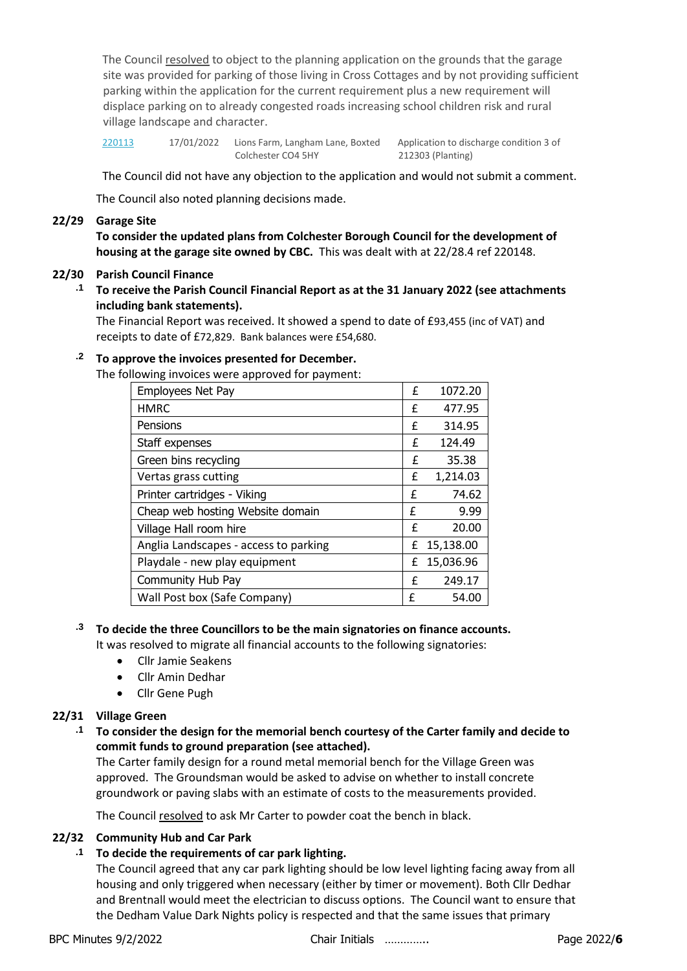The Council resolved to object to the planning application on the grounds that the garage site was provided for parking of those living in Cross Cottages and by not providing sufficient parking within the application for the current requirement plus a new requirement will displace parking on to already congested roads increasing school children risk and rural village landscape and character.

[220113](https://www.colchester.gov.uk/planning-app-details/?id=d2e55edb-9177-ec11-8d21-0022489caa74) 17/01/2022 Lions Farm, Langham Lane, Boxted Application to discharge condition 3 of Colchester CO4 5HY 212303 (Planting)

The Council did not have any objection to the application and would not submit a comment.

The Council also noted planning decisions made.

## **22/29 Garage Site**

**To consider the updated plans from Colchester Borough Council for the development of housing at the garage site owned by CBC.** This was dealt with at 22/28.4 ref 220148.

#### **22/30 Parish Council Finance**

**.1 To receive the Parish Council Financial Report as at the 31 January 2022 (see attachments including bank statements).**

The Financial Report was received. It showed a spend to date of £93,455 (inc of VAT) and receipts to date of £72,829. Bank balances were £54,680.

#### **.2 To approve the invoices presented for December.**

The following invoices were approved for payment:

| Employees Net Pay                     | £ | 1072.20   |
|---------------------------------------|---|-----------|
| <b>HMRC</b>                           | f | 477.95    |
| Pensions                              | £ | 314.95    |
| Staff expenses                        | £ | 124.49    |
| Green bins recycling                  | £ | 35.38     |
| Vertas grass cutting                  | £ | 1,214.03  |
| Printer cartridges - Viking           | £ | 74.62     |
| Cheap web hosting Website domain      | £ | 9.99      |
| Village Hall room hire                | £ | 20.00     |
| Anglia Landscapes - access to parking | £ | 15,138.00 |
| Playdale - new play equipment         | f | 15,036.96 |
| Community Hub Pay                     | £ | 249.17    |
| Wall Post box (Safe Company)          | f | 54.00     |

# **.3 To decide the three Councillors to be the main signatories on finance accounts.**

It was resolved to migrate all financial accounts to the following signatories:

- Cllr Jamie Seakens
- Cllr Amin Dedhar
- Cllr Gene Pugh

#### **22/31 Village Green**

**.1 To consider the design for the memorial bench courtesy of the Carter family and decide to commit funds to ground preparation (see attached).**

The Carter family design for a round metal memorial bench for the Village Green was approved. The Groundsman would be asked to advise on whether to install concrete groundwork or paving slabs with an estimate of costs to the measurements provided.

The Council resolved to ask Mr Carter to powder coat the bench in black.

#### **22/32 Community Hub and Car Park**

#### **.1 To decide the requirements of car park lighting.**

The Council agreed that any car park lighting should be low level lighting facing away from all housing and only triggered when necessary (either by timer or movement). Both Cllr Dedhar and Brentnall would meet the electrician to discuss options. The Council want to ensure that the Dedham Value Dark Nights policy is respected and that the same issues that primary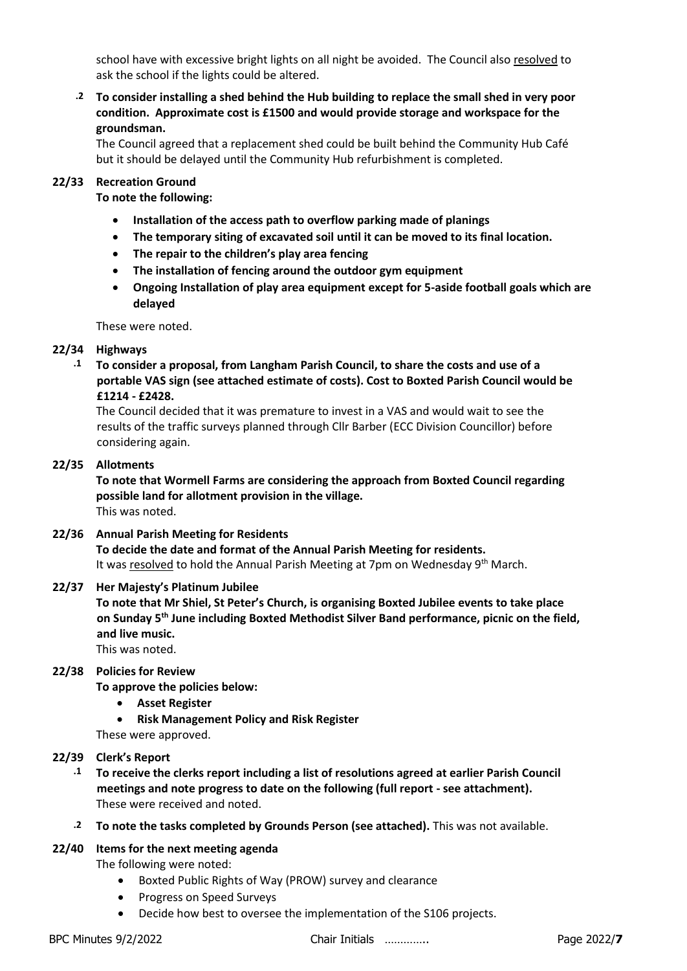school have with excessive bright lights on all night be avoided. The Council also resolved to ask the school if the lights could be altered.

**.2 To consider installing a shed behind the Hub building to replace the small shed in very poor condition. Approximate cost is £1500 and would provide storage and workspace for the groundsman.** 

The Council agreed that a replacement shed could be built behind the Community Hub Café but it should be delayed until the Community Hub refurbishment is completed.

## **22/33 Recreation Ground**

**To note the following:**

- **Installation of the access path to overflow parking made of planings**
- **The temporary siting of excavated soil until it can be moved to its final location.**
- **The repair to the children's play area fencing**
- **The installation of fencing around the outdoor gym equipment**
- **Ongoing Installation of play area equipment except for 5-aside football goals which are delayed**

These were noted.

## **22/34 Highways**

**.1 To consider a proposal, from Langham Parish Council, to share the costs and use of a portable VAS sign (see attached estimate of costs). Cost to Boxted Parish Council would be £1214 - £2428.**

The Council decided that it was premature to invest in a VAS and would wait to see the results of the traffic surveys planned through Cllr Barber (ECC Division Councillor) before considering again.

## **22/35 Allotments**

**To note that Wormell Farms are considering the approach from Boxted Council regarding possible land for allotment provision in the village.** This was noted.

#### **22/36 Annual Parish Meeting for Residents**

**To decide the date and format of the Annual Parish Meeting for residents.** It was resolved to hold the Annual Parish Meeting at 7pm on Wednesday 9<sup>th</sup> March.

## **22/37 Her Majesty's Platinum Jubilee**

**To note that Mr Shiel, St Peter's Church, is organising Boxted Jubilee events to take place on Sunday 5th June including Boxted Methodist Silver Band performance, picnic on the field, and live music.**

This was noted.

## **22/38 Policies for Review**

**To approve the policies below:**

- **Asset Register**
- **Risk Management Policy and Risk Register**
- These were approved.

#### **22/39 Clerk's Report**

- **.1 To receive the clerks report including a list of resolutions agreed at earlier Parish Council meetings and note progress to date on the following (full report - see attachment).** These were received and noted.
- **.2 To note the tasks completed by Grounds Person (see attached).** This was not available.

#### **22/40 Items for the next meeting agenda**

The following were noted:

- Boxted Public Rights of Way (PROW) survey and clearance
- Progress on Speed Surveys
- Decide how best to oversee the implementation of the S106 projects.